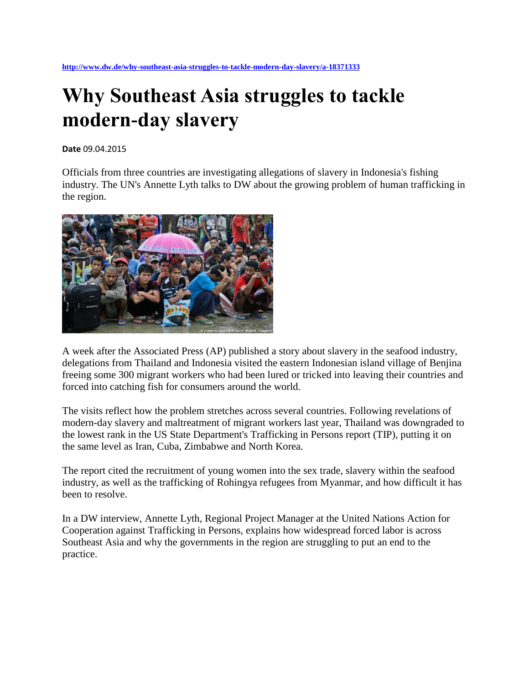# **Why Southeast Asia struggles to tackle modern-day slavery**

**Date** 09.04.2015

Officials from three countries are investigating allegations of slavery in Indonesia's fishing industry. The UN's Annette Lyth talks to DW about the growing problem of human trafficking in the region.



A week after the Associated Press (AP) published a story about slavery in the seafood industry, delegations from Thailand and Indonesia visited the eastern Indonesian island village of Benjina freeing some 300 migrant workers who had been lured or tricked into leaving their countries and forced into catching fish for consumers around the world.

The visits reflect how the problem stretches across several countries. Following revelations of modern-day slavery and maltreatment of migrant workers last year, Thailand was downgraded to the lowest rank in the US State Department's Trafficking in Persons report (TIP), putting it on the same level as Iran, Cuba, Zimbabwe and North Korea.

The report cited the recruitment of young women into the sex trade, slavery within the seafood industry, as well as the trafficking of Rohingya refugees from Myanmar, and how difficult it has been to resolve.

In a DW interview, Annette Lyth, Regional Project Manager at the United Nations Action for Cooperation against Trafficking in Persons, explains how widespread forced labor is across Southeast Asia and why the governments in the region are struggling to put an end to the practice.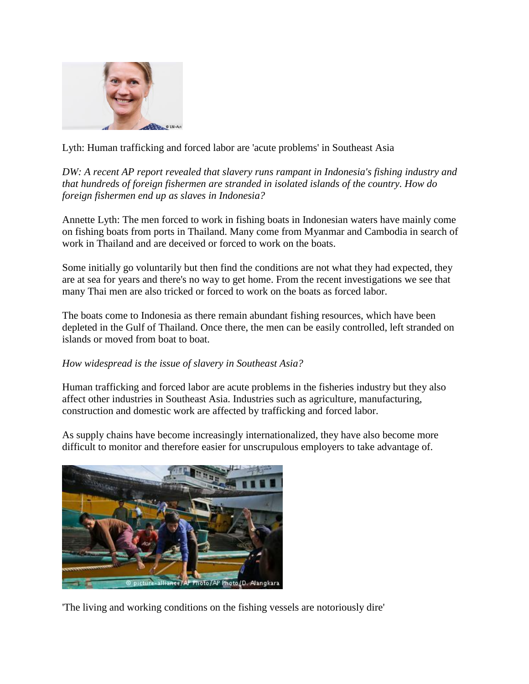

Lyth: Human trafficking and forced labor are 'acute problems' in Southeast Asia

*DW: A recent AP report revealed that slavery runs rampant in Indonesia's fishing industry and that hundreds of foreign fishermen are stranded in isolated islands of the country. How do foreign fishermen end up as slaves in Indonesia?* 

Annette Lyth: The men forced to work in fishing boats in Indonesian waters have mainly come on fishing boats from ports in Thailand. Many come from Myanmar and Cambodia in search of work in Thailand and are deceived or forced to work on the boats.

Some initially go voluntarily but then find the conditions are not what they had expected, they are at sea for years and there's no way to get home. From the recent investigations we see that many Thai men are also tricked or forced to work on the boats as forced labor.

The boats come to Indonesia as there remain abundant fishing resources, which have been depleted in the Gulf of Thailand. Once there, the men can be easily controlled, left stranded on islands or moved from boat to boat.

### *How widespread is the issue of slavery in Southeast Asia?*

Human trafficking and forced labor are acute problems in the fisheries industry but they also affect other industries in Southeast Asia. Industries such as agriculture, manufacturing, construction and domestic work are affected by trafficking and forced labor.

As supply chains have become increasingly internationalized, they have also become more difficult to monitor and therefore easier for unscrupulous employers to take advantage of.



'The living and working conditions on the fishing vessels are notoriously dire'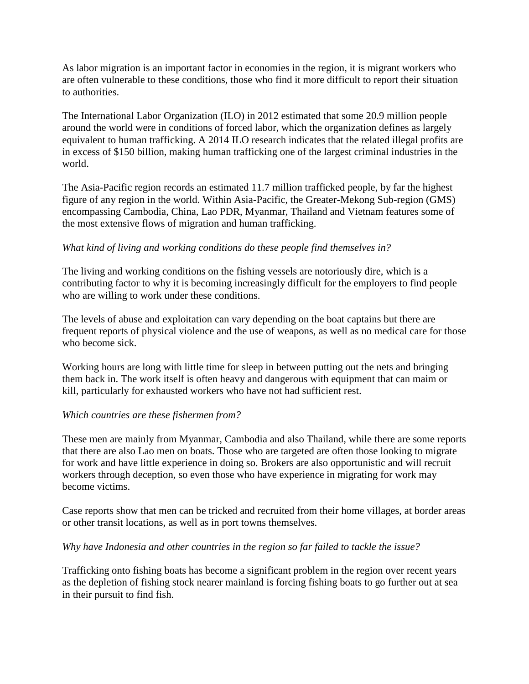As labor migration is an important factor in economies in the region, it is migrant workers who are often vulnerable to these conditions, those who find it more difficult to report their situation to authorities.

The International Labor Organization (ILO) in 2012 estimated that some 20.9 million people around the world were in conditions of forced labor, which the organization defines as largely equivalent to human trafficking. A 2014 ILO research indicates that the related illegal profits are in excess of \$150 billion, making human trafficking one of the largest criminal industries in the world.

The Asia-Pacific region records an estimated 11.7 million trafficked people, by far the highest figure of any region in the world. Within Asia-Pacific, the Greater-Mekong Sub-region (GMS) encompassing Cambodia, China, Lao PDR, Myanmar, Thailand and Vietnam features some of the most extensive flows of migration and human trafficking.

# *What kind of living and working conditions do these people find themselves in?*

The living and working conditions on the fishing vessels are notoriously dire, which is a contributing factor to why it is becoming increasingly difficult for the employers to find people who are willing to work under these conditions.

The levels of abuse and exploitation can vary depending on the boat captains but there are frequent reports of physical violence and the use of weapons, as well as no medical care for those who become sick.

Working hours are long with little time for sleep in between putting out the nets and bringing them back in. The work itself is often heavy and dangerous with equipment that can maim or kill, particularly for exhausted workers who have not had sufficient rest.

### *Which countries are these fishermen from?*

These men are mainly from Myanmar, Cambodia and also Thailand, while there are some reports that there are also Lao men on boats. Those who are targeted are often those looking to migrate for work and have little experience in doing so. Brokers are also opportunistic and will recruit workers through deception, so even those who have experience in migrating for work may become victims.

Case reports show that men can be tricked and recruited from their home villages, at border areas or other transit locations, as well as in port towns themselves.

### *Why have Indonesia and other countries in the region so far failed to tackle the issue?*

Trafficking onto fishing boats has become a significant problem in the region over recent years as the depletion of fishing stock nearer mainland is forcing fishing boats to go further out at sea in their pursuit to find fish.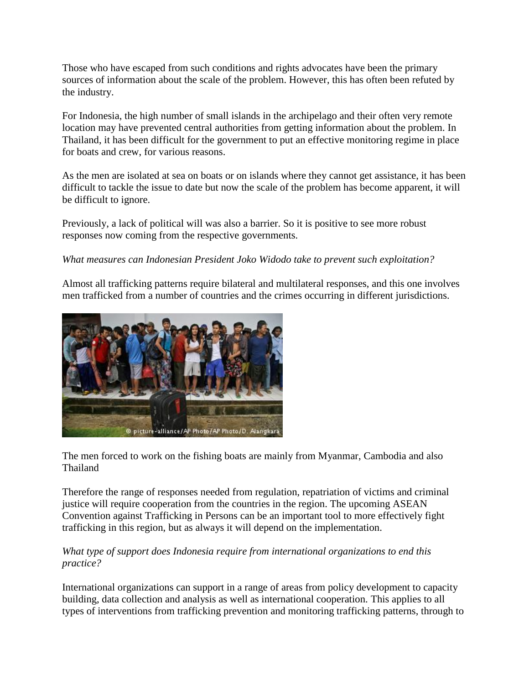Those who have escaped from such conditions and rights advocates have been the primary sources of information about the scale of the problem. However, this has often been refuted by the industry.

For Indonesia, the high number of small islands in the archipelago and their often very remote location may have prevented central authorities from getting information about the problem. In Thailand, it has been difficult for the government to put an effective monitoring regime in place for boats and crew, for various reasons.

As the men are isolated at sea on boats or on islands where they cannot get assistance, it has been difficult to tackle the issue to date but now the scale of the problem has become apparent, it will be difficult to ignore.

Previously, a lack of political will was also a barrier. So it is positive to see more robust responses now coming from the respective governments.

# *What measures can Indonesian President Joko Widodo take to prevent such exploitation?*

Almost all trafficking patterns require bilateral and multilateral responses, and this one involves men trafficked from a number of countries and the crimes occurring in different jurisdictions.



The men forced to work on the fishing boats are mainly from Myanmar, Cambodia and also Thailand

Therefore the range of responses needed from regulation, repatriation of victims and criminal justice will require cooperation from the countries in the region. The upcoming ASEAN Convention against Trafficking in Persons can be an important tool to more effectively fight trafficking in this region, but as always it will depend on the implementation.

# *What type of support does Indonesia require from international organizations to end this practice?*

International organizations can support in a range of areas from policy development to capacity building, data collection and analysis as well as international cooperation. This applies to all types of interventions from trafficking prevention and monitoring trafficking patterns, through to